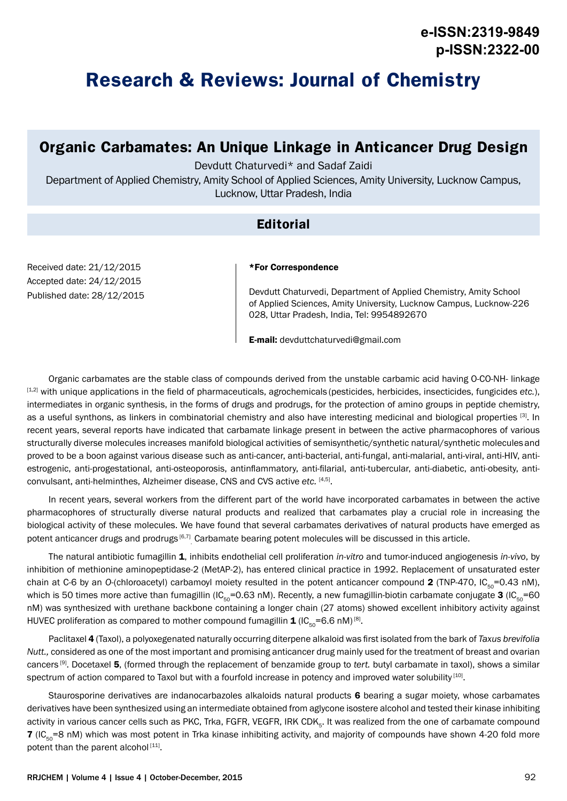# **Research & Reviews: Journal of Chemistry**

# **Organic Carbamates: An Unique Linkage in Anticancer Drug Design**

Devdutt Chaturvedi\* and Sadaf Zaidi

Department of Applied Chemistry, Amity School of Applied Sciences, Amity University, Lucknow Campus, Lucknow, Uttar Pradesh, India

### **Editorial**

Received date: 21/12/2015 Accepted date: 24/12/2015 Published date: 28/12/2015

#### \*For Correspondence

Devdutt Chaturvedi, Department of Applied Chemistry, Amity School of Applied Sciences, Amity University, Lucknow Campus, Lucknow-226 028, Uttar Pradesh, India, Tel: 9954892670

E-mail: devduttchaturvedi@gmail.com

Organic carbamates are the stable class of compounds derived from the unstable carbamic acid having O-CO-NH- linkage [1,2] with unique applications in the field of pharmaceuticals, agrochemicals (pesticides, herbicides, insecticides, fungicides *etc.*), intermediates in organic synthesis, in the forms of drugs and prodrugs, for the protection of amino groups in peptide chemistry, as a useful synthons, as linkers in combinatorial chemistry and also have interesting medicinal and biological properties [3]. In recent years, several reports have indicated that carbamate linkage present in between the active pharmacophores of various structurally diverse molecules increases manifold biological activities of semisynthetic/synthetic natural/synthetic moleculesand proved to be a boon against various disease such as anti-cancer, anti-bacterial, anti-fungal, anti-malarial, anti-viral, anti-HIV, antiestrogenic, anti-progestational, anti-osteoporosis, antinflammatory, anti-filarial, anti-tubercular, anti-diabetic, anti-obesity, anticonvulsant, anti-helminthes, Alzheimer disease, CNS and CVS active *etc.* [4,5].

In recent years, several workers from the different part of the world have incorporated carbamates in between the active pharmacophores of structurally diverse natural products and realized that carbamates play a crucial role in increasing the biological activity of these molecules. We have found that several carbamates derivatives of natural products have emerged as potent anticancer drugs and prodrugs <sup>[6,7]</sup> Carbamate bearing potent molecules will be discussed in this article.

The natural antibiotic fumagillin 1, inhibits endothelial cell proliferation *in*-*vitro* and tumor-induced angiogenesis *in-vivo*, by inhibition of methionine aminopeptidase-2 (MetAP-2), has entered clinical practice in 1992. Replacement of unsaturated ester chain at C-6 by an O-(chloroacetyl) carbamoyl moiety resulted in the potent anticancer compound 2 (TNP-470, IC $_{50}$ =0.43 nM), which is 50 times more active than fumagillin (IC<sub>50</sub>=0.63 nM). Recently, a new fumagillin-biotin carbamate conjugate 3 (IC<sub>50</sub>=60 nM) was synthesized with urethane backbone containing a longer chain (27 atoms) showed excellent inhibitory activity against HUVEC proliferation as compared to mother compound fumagillin  $1/(C_{50}=6.6 \text{ nM})^{[8]}$ .

Paclitaxel 4 (Taxol), a polyoxegenated naturally occurring diterpene alkaloid was first isolated from the bark of *Taxus brevifolia Nutt.,* considered as one of the most important and promising anticancer drug mainly used for the treatment of breast and ovarian cancers [9]. Docetaxel 5, (formed through the replacement of benzamide group to *tert.* butyl carbamate in taxol), shows a similar spectrum of action compared to Taxol but with a fourfold increase in potency and improved water solubility [10].

Staurosporine derivatives are indanocarbazoles alkaloids natural products 6 bearing a sugar moiety, whose carbamates derivatives have been synthesized using an intermediate obtained from aglycone isostere alcohol and tested their kinase inhibiting activity in various cancer cells such as PKC, Trka, FGFR, VEGFR, IRK CDK<sub>5</sub>. It was realized from the one of carbamate compound  $7$  (IC<sub> $\epsilon_0$ </sub> =8 nM) which was most potent in Trka kinase inhibiting activity, and majority of compounds have shown 4-20 fold more potent than the parent alcohol<sup>[11]</sup>.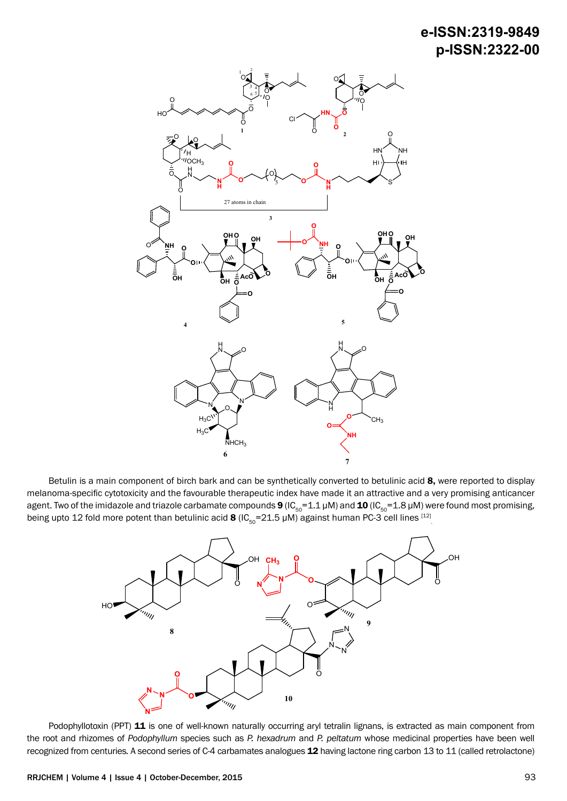## **e-ISSN:2319-9849 p-ISSN:2322-00**



Betulin is a main component of birch bark and can be synthetically converted to betulinic acid 8, were reported to display melanoma-specific cytotoxicity and the favourable therapeutic index have made it an attractive and a very promising anticancer agent. Two of the imidazole and triazole carbamate compounds 9 (IC<sub>50</sub>=1.1 µM) and 10 (IC<sub>50</sub>=1.8 µM) were found most promising, being upto 12 fold more potent than betulinic acid **8** (IC<sub>50</sub>=21.5 µM) against human PC-3 cell lines  $^{[12]}$ 



Podophyllotoxin (PPT) 11 is one of well-known naturally occurring aryl tetralin lignans, is extracted as main component from the root and rhizomes of *Podophyllum* species such as *P. hexadrum* and *P. peltatum* whose medicinal properties have been well recognized from centuries*.* A second series of C-4 carbamates analogues 12 having lactone ring carbon 13 to 11 (called retrolactone)